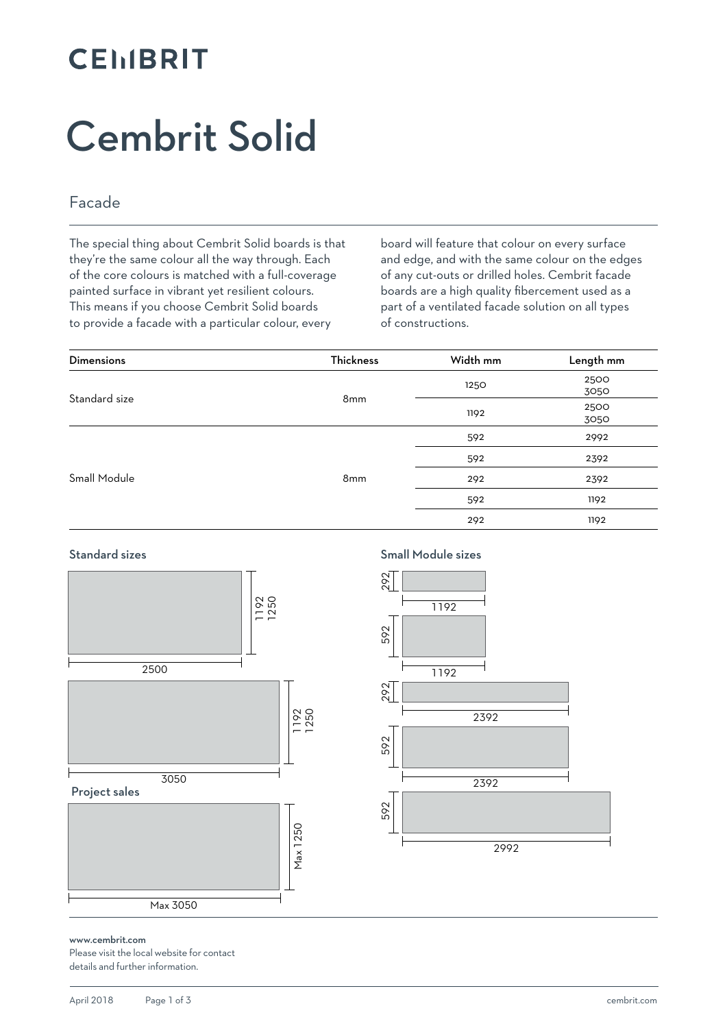## **CEMBRIT**

# Cembrit Solid

### Facade

The special thing about Cembrit Solid boards is that they're the same colour all the way through. Each of the core colours is matched with a full-coverage painted surface in vibrant yet resilient colours. This means if you choose Cembrit Solid boards to provide a facade with a particular colour, every

board will feature that colour on every surface and edge, and with the same colour on the edges of any cut-outs or drilled holes. Cembrit facade boards are a high quality fibercement used as a part of a ventilated facade solution on all types of constructions.

| <b>Dimensions</b> | Thickness | Width mm | Length mm |
|-------------------|-----------|----------|-----------|
|                   |           | 1250     | 2500      |
| Standard size     | 8mm       |          | 3050      |
|                   |           | 1192     | 2500      |
|                   |           |          | 3050      |
| Small Module      |           | 592      | 2992      |
|                   | 8mm       | 592      | 2392      |
|                   |           | 292      | 2392      |
|                   |           | 592      | 1192      |
|                   |           | 292      | 1192      |

#### Standard sizes





#### www.cembrit.com

Please visit the local website for contact details and further information.

Max 3050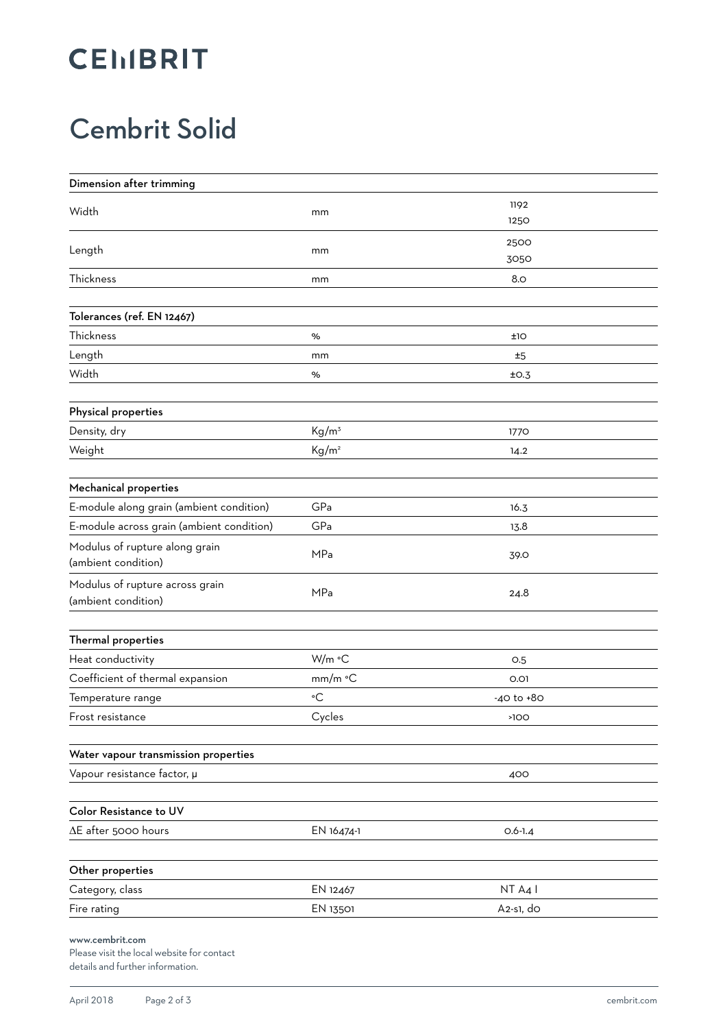### **CEMBRIT**

### Cembrit Solid

| Dimension after trimming                                            |                   |             |
|---------------------------------------------------------------------|-------------------|-------------|
| Width                                                               | mm                | 1192        |
|                                                                     |                   | 1250        |
| Length                                                              | mm                | 2500        |
|                                                                     |                   | 3050        |
| Thickness                                                           | mm                | 8.0         |
|                                                                     |                   |             |
| Tolerances (ref. EN 12467)                                          |                   |             |
| Thickness                                                           | $\%$              | ±1O         |
| Length                                                              | mm                | ±5          |
| Width                                                               | $\%$              | ±0.3        |
|                                                                     |                   |             |
| Physical properties                                                 |                   |             |
| Density, dry                                                        | $Kg/m^3$          | 1770        |
| Weight                                                              | Kg/m <sup>2</sup> | 14.2        |
|                                                                     |                   |             |
| Mechanical properties                                               |                   |             |
| E-module along grain (ambient condition)                            | GPa               | 16.3        |
| E-module across grain (ambient condition)                           | GPa               | 13.8        |
| Modulus of rupture along grain<br>(ambient condition)               | MPa               | 39.O        |
| Modulus of rupture across grain<br>(ambient condition)              | MPa               | 24.8        |
|                                                                     |                   |             |
| Thermal properties                                                  |                   |             |
| Heat conductivity                                                   | W/m °C            | 0.5         |
| Coefficient of thermal expansion                                    | mm/m °C           | 0.01        |
| Temperature range                                                   | $\circ$ C         | -40 to +80  |
| Frost resistance                                                    | Cycles            | >100        |
|                                                                     |                   |             |
| Water vapour transmission properties<br>Vapour resistance factor, µ |                   |             |
|                                                                     |                   | 400         |
| Color Resistance to UV                                              |                   |             |
| $\Delta E$ after 5000 hours                                         | EN 16474-1        | $0.6 - 1.4$ |
|                                                                     |                   |             |
| Other properties                                                    |                   |             |
| Category, class                                                     | EN 12467          | NT A4 I     |
| Fire rating                                                         | EN 13501          | A2-s1, do   |
| www.cembrit.com                                                     |                   |             |

Please visit the local website for contact details and further information.